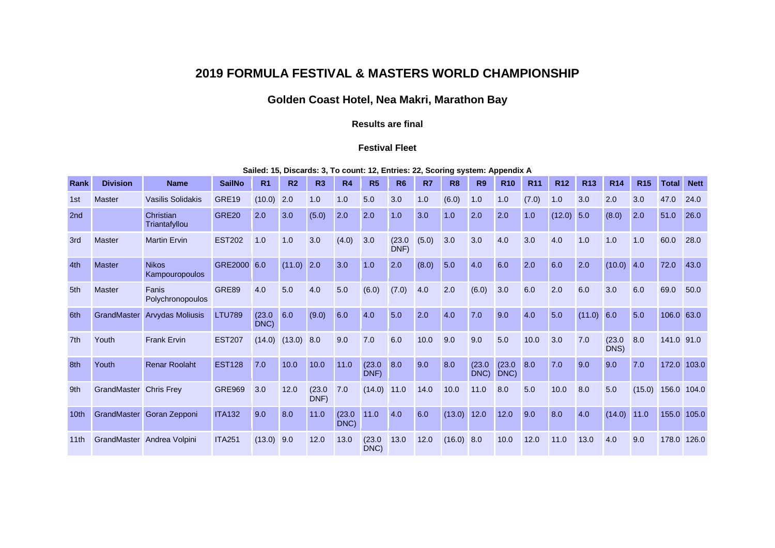## **2019 FORMULA FESTIVAL & MASTERS WORLD CHAMPIONSHIP**

## **Golden Coast Hotel, Nea Makri, Marathon Bay**

## **Results are final**

## **Festival Fleet**

**Sailed: 15, Discards: 3, To count: 12, Entries: 22, Scoring system: Appendix A**

| Rank | <b>Division</b>        | <b>Name</b>                       | <b>SailNo</b>     | R <sub>1</sub> | R <sub>2</sub> | R <sub>3</sub> | <b>R4</b>      | R <sub>5</sub> | R <sub>6</sub> | R7    | R <sub>8</sub> | R <sub>9</sub> | <b>R10</b>     | R <sub>11</sub> | <b>R12</b> | <b>R13</b> | <b>R14</b>     | R <sub>15</sub> | Total      | <b>Nett</b> |
|------|------------------------|-----------------------------------|-------------------|----------------|----------------|----------------|----------------|----------------|----------------|-------|----------------|----------------|----------------|-----------------|------------|------------|----------------|-----------------|------------|-------------|
| 1st  | <b>Master</b>          | Vasilis Solidakis                 | GRE19             | (10.0)         | 2.0            | 1.0            | 1.0            | 5.0            | 3.0            | 1.0   | (6.0)          | 1.0            | 1.0            | (7.0)           | 1.0        | 3.0        | 2.0            | 3.0             | 47.0       | 24.0        |
| 2nd  |                        | <b>Christian</b><br>Triantafyllou | GRE <sub>20</sub> | 2.0            | 3.0            | (5.0)          | 2.0            | 2.0            | 1.0            | 3.0   | 1.0            | 2.0            | 2.0            | 1.0             | (12.0)     | 5.0        | (8.0)          | 2.0             | 51.0       | 26.0        |
| 3rd  | <b>Master</b>          | <b>Martin Ervin</b>               | <b>EST202</b>     | 1.0            | 1.0            | 3.0            | (4.0)          | 3.0            | (23.0)<br>DNF) | (5.0) | 3.0            | 3.0            | 4.0            | 3.0             | 4.0        | 1.0        | 1.0            | 1.0             | 60.0       | 28.0        |
| 4th  | <b>Master</b>          | <b>Nikos</b><br>Kampouropoulos    | GRE2000 6.0       |                | (11.0)         | 2.0            | 3.0            | 1.0            | 2.0            | (8.0) | 5.0            | 4.0            | 6.0            | 2.0             | 6.0        | 2.0        | (10.0)         | 4.0             | 72.0       | 43.0        |
| 5th  | <b>Master</b>          | Fanis<br>Polychronopoulos         | GRE89             | 4.0            | 5.0            | 4.0            | 5.0            | (6.0)          | (7.0)          | 4.0   | 2.0            | (6.0)          | 3.0            | 6.0             | 2.0        | 6.0        | 3.0            | 6.0             | 69.0       | 50.0        |
| 6th  | GrandMaster            | <b>Arvydas Moliusis</b>           | <b>LTU789</b>     | (23.0)<br>DNC) | 6.0            | (9.0)          | 6.0            | 4.0            | 5.0            | 2.0   | 4.0            | 7.0            | 9.0            | 4.0             | 5.0        | (11.0)     | 6.0            | 5.0             | 106.0 63.0 |             |
| 7th  | Youth                  | <b>Frank Ervin</b>                | <b>EST207</b>     | (14.0)         | (13.0)         | 8.0            | 9.0            | 7.0            | 6.0            | 10.0  | 9.0            | 9.0            | 5.0            | 10.0            | 3.0        | 7.0        | (23.0)<br>DNS) | 8.0             | 141.0      | 91.0        |
| 8th  | Youth                  | <b>Renar Roolaht</b>              | <b>EST128</b>     | 7.0            | 10.0           | 10.0           | 11.0           | (23.0)<br>DNF) | 8.0            | 9.0   | 8.0            | (23.0)<br>DNC) | (23.0)<br>DNC) | 8.0             | 7.0        | 9.0        | 9.0            | 7.0             | 172.0      | 103.0       |
| 9th  | GrandMaster Chris Frey |                                   | <b>GRE969</b>     | 3.0            | 12.0           | (23.0)<br>DNF) | 7.0            | (14.0)         | 11.0           | 14.0  | 10.0           | 11.0           | 8.0            | 5.0             | 10.0       | 8.0        | 5.0            | (15.0)          | 156.0      | 104.0       |
| 10th | GrandMaster            | Goran Zepponi                     | <b>ITA132</b>     | 9.0            | 8.0            | 11.0           | (23.0)<br>DNC) | 11.0           | 4.0            | 6.0   | (13.0)         | 12.0           | 12.0           | 9.0             | 8.0        | 4.0        | (14.0)         | 11.0            | 155.0      | 105.0       |
| 11th |                        | GrandMaster Andrea Volpini        | <b>ITA251</b>     | (13.0)         | 9.0            | 12.0           | 13.0           | (23.0)<br>DNC) | 13.0           | 12.0  | (16.0)         | 8.0            | 10.0           | 12.0            | 11.0       | 13.0       | 4.0            | 9.0             | 178.0      | 126.0       |